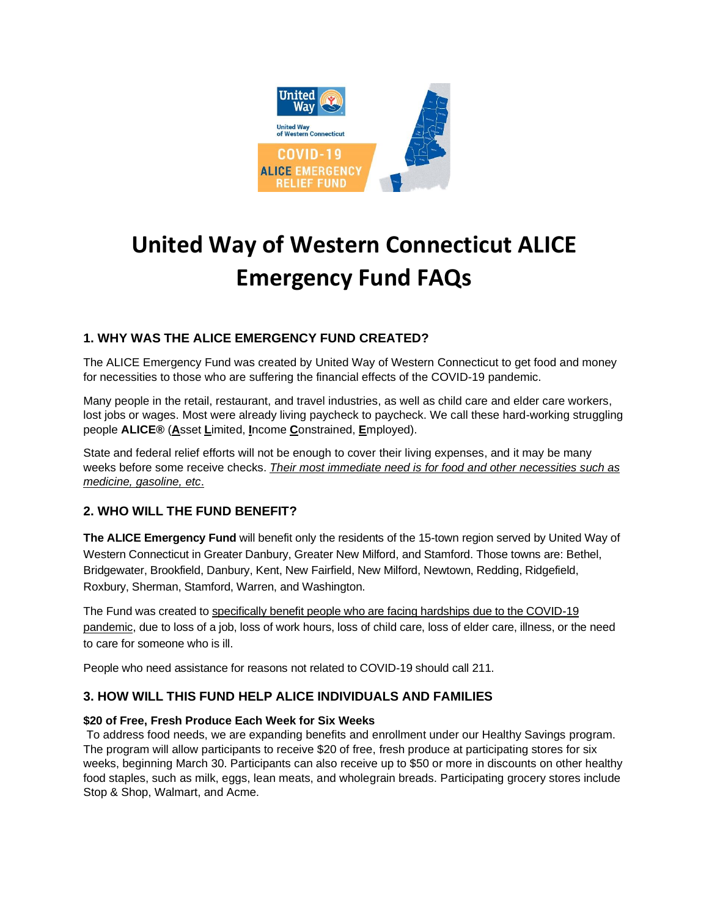

# **United Way of Western Connecticut ALICE Emergency Fund FAQs**

# **1. WHY WAS THE ALICE EMERGENCY FUND CREATED?**

The ALICE Emergency Fund was created by United Way of Western Connecticut to get food and money for necessities to those who are suffering the financial effects of the COVID-19 pandemic.

Many people in the retail, restaurant, and travel industries, as well as child care and elder care workers, lost jobs or wages. Most were already living paycheck to paycheck. We call these hard-working struggling people **ALICE®** (**A**sset **L**imited, **I**ncome **C**onstrained, **E**mployed).

State and federal relief efforts will not be enough to cover their living expenses, and it may be many weeks before some receive checks. *Their most immediate need is for food and other necessities such as medicine, gasoline, etc*.

## **2. WHO WILL THE FUND BENEFIT?**

**The ALICE Emergency Fund** will benefit only the residents of the 15-town region served by United Way of Western Connecticut in Greater Danbury, Greater New Milford, and Stamford. Those towns are: Bethel, Bridgewater, Brookfield, Danbury, Kent, New Fairfield, New Milford, Newtown, Redding, Ridgefield, Roxbury, Sherman, Stamford, Warren, and Washington.

The Fund was created to specifically benefit people who are facing hardships due to the COVID-19 pandemic, due to loss of a job, loss of work hours, loss of child care, loss of elder care, illness, or the need to care for someone who is ill.

People who need assistance for reasons not related to COVID-19 should call 211.

## **3. HOW WILL THIS FUND HELP ALICE INDIVIDUALS AND FAMILIES**

#### **\$20 of Free, Fresh Produce Each Week for Six Weeks**

To address food needs, we are expanding benefits and enrollment under our Healthy Savings program. The program will allow participants to receive \$20 of free, fresh produce at participating stores for six weeks, beginning March 30. Participants can also receive up to \$50 or more in discounts on other healthy food staples, such as milk, eggs, lean meats, and wholegrain breads. Participating grocery stores include Stop & Shop, Walmart, and Acme.